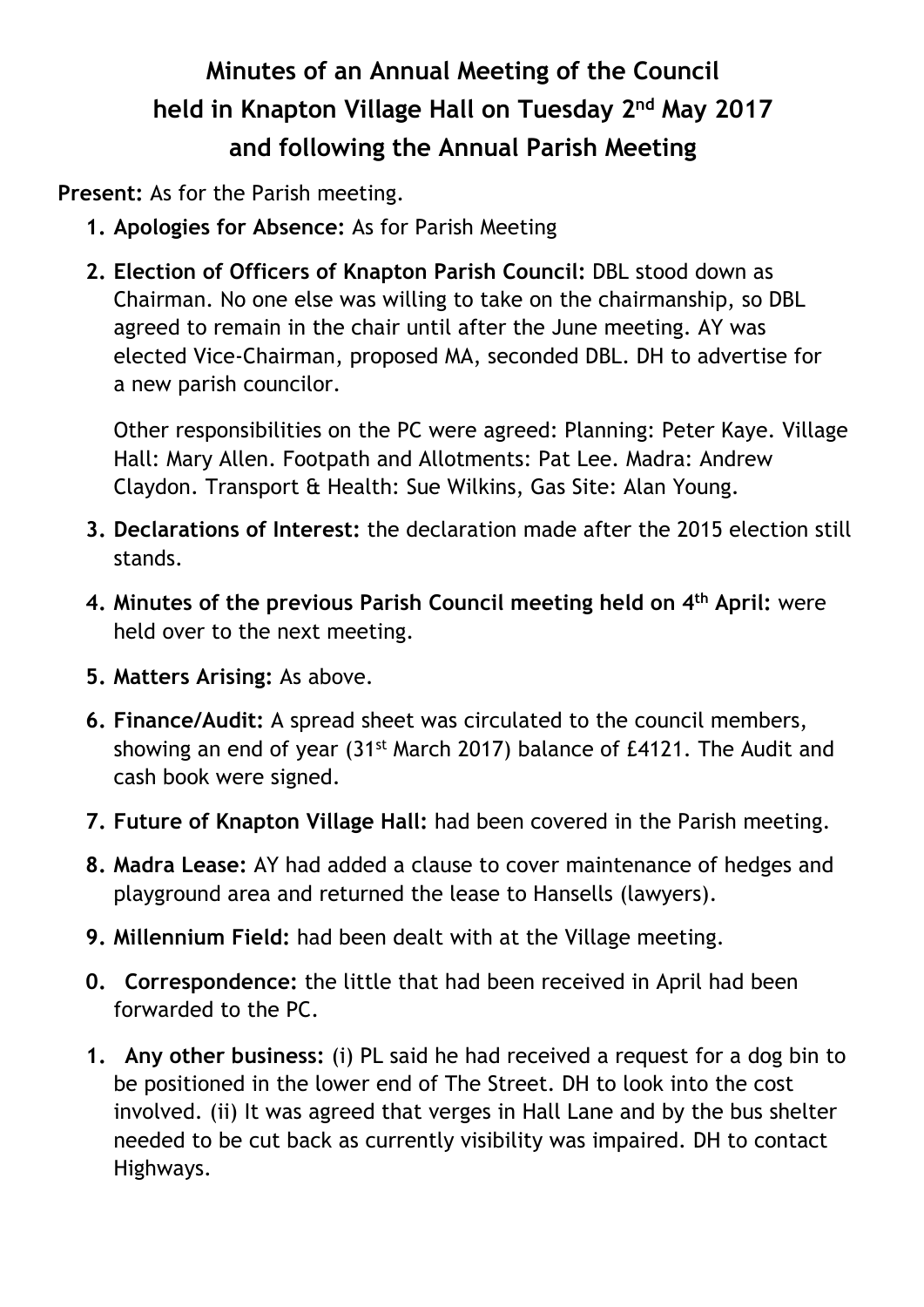## **Minutes of an Annual Meeting of the Council held in Knapton Village Hall on Tuesday 2nd May 2017 and following the Annual Parish Meeting**

**Present:** As for the Parish meeting.

- **1. Apologies for Absence:** As for Parish Meeting
- **2. Election of Officers of Knapton Parish Council:** DBL stood down as Chairman. No one else was willing to take on the chairmanship, so DBL agreed to remain in the chair until after the June meeting. AY was elected Vice-Chairman, proposed MA, seconded DBL. DH to advertise for a new parish councilor.

Other responsibilities on the PC were agreed: Planning: Peter Kaye. Village Hall: Mary Allen. Footpath and Allotments: Pat Lee. Madra: Andrew Claydon. Transport & Health: Sue Wilkins, Gas Site: Alan Young.

- **3. Declarations of Interest:** the declaration made after the 2015 election still stands.
- **4. Minutes of the previous Parish Council meeting held on 4th April:** were held over to the next meeting.
- **5. Matters Arising:** As above.
- **6. Finance/Audit:** A spread sheet was circulated to the council members, showing an end of year (31<sup>st</sup> March 2017) balance of £4121. The Audit and cash book were signed.
- **7. Future of Knapton Village Hall:** had been covered in the Parish meeting.
- **8. Madra Lease:** AY had added a clause to cover maintenance of hedges and playground area and returned the lease to Hansells (lawyers).
- **9. Millennium Field:** had been dealt with at the Village meeting.
- **0. Correspondence:** the little that had been received in April had been forwarded to the PC.
- **1. Any other business:** (i) PL said he had received a request for a dog bin to be positioned in the lower end of The Street. DH to look into the cost involved. (ii) It was agreed that verges in Hall Lane and by the bus shelter needed to be cut back as currently visibility was impaired. DH to contact Highways.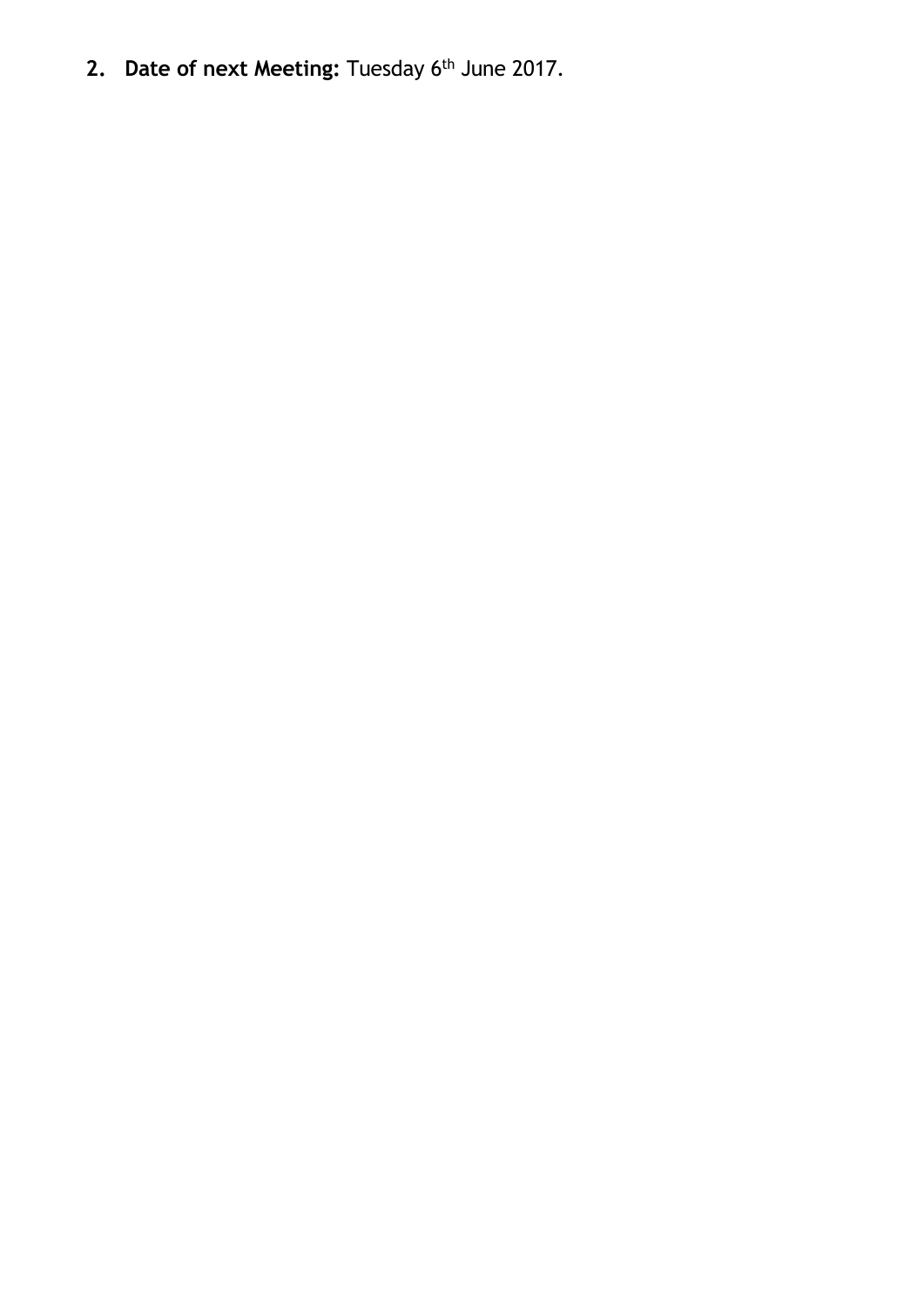2. Date of next Meeting: Tuesday 6<sup>th</sup> June 2017.